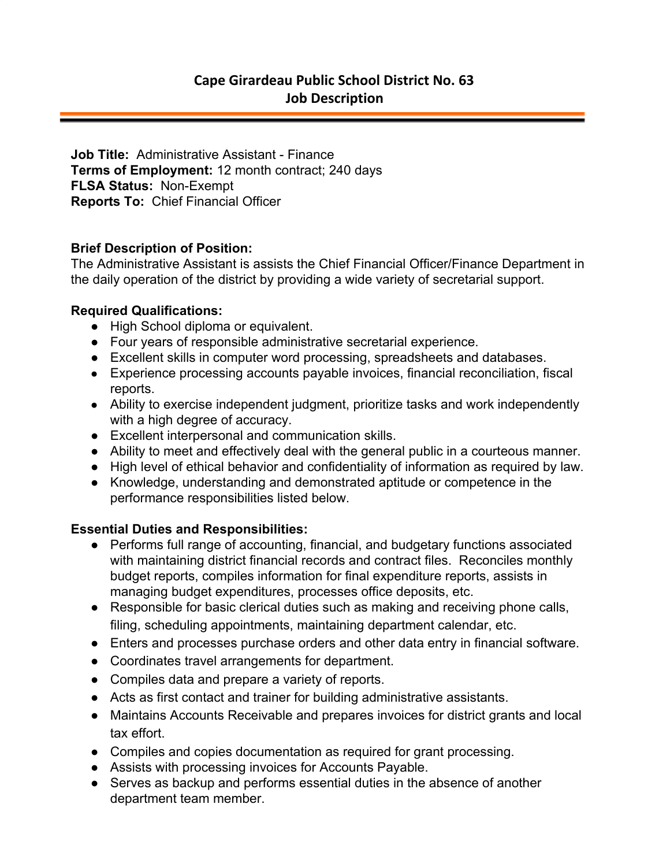**Job Title:** Administrative Assistant - Finance **Terms of Employment:** 12 month contract; 240 days **FLSA Status:** Non-Exempt **Reports To:** Chief Financial Officer

## **Brief Description of Position:**

The Administrative Assistant is assists the Chief Financial Officer/Finance Department in the daily operation of the district by providing a wide variety of secretarial support.

## **Required Qualifications:**

- High School diploma or equivalent.
- Four years of responsible administrative secretarial experience.
- Excellent skills in computer word processing, spreadsheets and databases.
- Experience processing accounts payable invoices, financial reconciliation, fiscal reports.
- Ability to exercise independent judgment, prioritize tasks and work independently with a high degree of accuracy.
- Excellent interpersonal and communication skills.
- Ability to meet and effectively deal with the general public in a courteous manner.
- High level of ethical behavior and confidentiality of information as required by law.
- Knowledge, understanding and demonstrated aptitude or competence in the performance responsibilities listed below.

## **Essential Duties and Responsibilities:**

- Performs full range of accounting, financial, and budgetary functions associated with maintaining district financial records and contract files. Reconciles monthly budget reports, compiles information for final expenditure reports, assists in managing budget expenditures, processes office deposits, etc.
- Responsible for basic clerical duties such as making and receiving phone calls, filing, scheduling appointments, maintaining department calendar, etc.
- Enters and processes purchase orders and other data entry in financial software.
- Coordinates travel arrangements for department.
- Compiles data and prepare a variety of reports.
- Acts as first contact and trainer for building administrative assistants.
- Maintains Accounts Receivable and prepares invoices for district grants and local tax effort.
- Compiles and copies documentation as required for grant processing.
- Assists with processing invoices for Accounts Payable.
- Serves as backup and performs essential duties in the absence of another department team member.